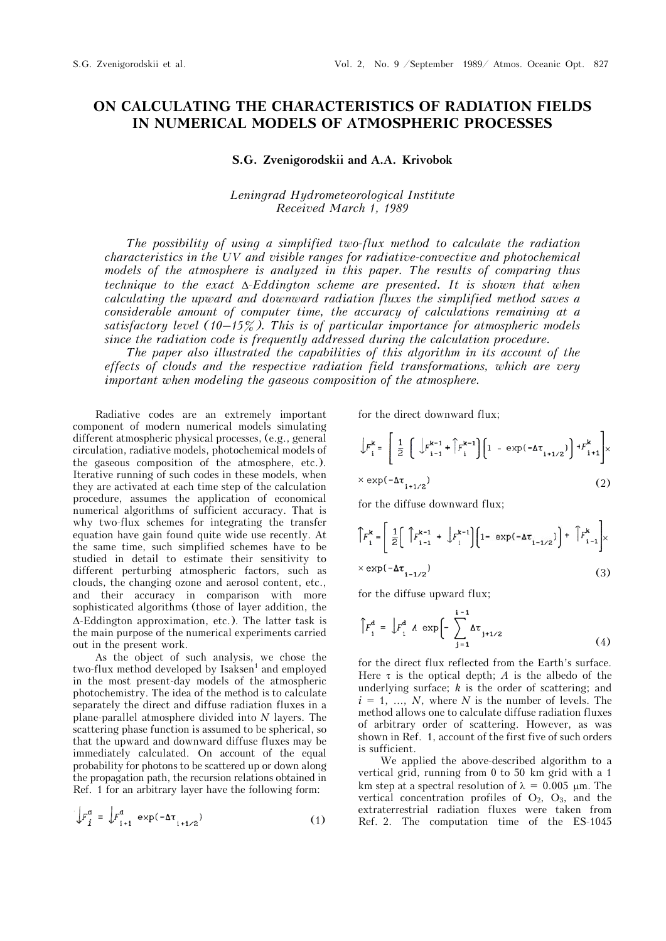## **ON CALCULATING THE CHARACTERISTICS OF RADIATION FIELDS IN NUMERICAL MODELS OF ATMOSPHERIC PROCESSES**

**S.G. Zvenigorodskii and A.A. Krivobok** 

*Leningrad Hydrometeorological Institute Received March 1, 1989* 

*The possibility of using a simplified two-flux method to calculate the radiation characteristics in the UV and visible ranges for radiative-convective and photochemical models of the atmosphere is analyzed in this paper. The results of comparing thus technique to the exact -Eddington scheme are presented. It is shown that when calculating the upward and downward radiation fluxes the simplified method saves a considerable amount of computer time, the accuracy of calculations remaining at a satisfactory level (10–15%). This is of particular importance for atmospheric models since the radiation code is frequently addressed during the calculation procedure.*

*The paper also illustrated the capabilities of this algorithm in its account of the effects of clouds and the respective radiation field transformations, which are very important when modeling the gaseous composition of the atmosphere.*

Radiative codes are an extremely important component of modern numerical models simulating different atmospheric physical processes, (e.g., general circulation, radiative models, photochemical models of the gaseous composition of the atmosphere, etc.). Iterative running of such codes in these models, when they are activated at each time step of the calculation procedure, assumes the application of economical numerical algorithms of sufficient accuracy. That is why two-flux schemes for integrating the transfer equation have gain found quite wide use recently. At the same time, such simplified schemes have to be studied in detail to estimate their sensitivity to different perturbing atmospheric factors, such as clouds, the changing ozone and aerosol content, etc., and their accuracy in comparison with more sophisticated algorithms (those of layer addition, the  $\Delta$ -Eddington approximation, etc.). The latter task is the main purpose of the numerical experiments carried out in the present work.

As the object of such analysis, we chose the two-flux method developed by Isaksen<sup>1</sup> and employed in the most present-day models of the atmospheric photochemistry. The idea of the method is to calculate separately the direct and diffuse radiation fluxes in a plane-parallel atmosphere divided into *N* layers. The scattering phase function is assumed to be spherical, so that the upward and downward diffuse fluxes may be immediately calculated. On account of the equal probability for photons to be scattered up or down along the propagation path, the recursion relations obtained in Ref. 1 for an arbitrary layer have the following form:

$$
\int F_{i}^{d} = \int F_{i+1}^{d} \exp(-\Delta \tau_{i+1/2})
$$
 (1)

for the direct downward flux;

$$
\int F_{i}^{k} = \left[ \frac{1}{2} \left( \int F_{i-1}^{k-1} + \int F_{i}^{k-1} \right) \left[ 1 - \exp(-\Delta \tau_{i+1/2}) \right] + F_{i+1}^{k} \right] \times
$$
  
×  $\exp(-\Delta \tau_{i+1/2})$  (2)

for the diffuse downward flux;

$$
\begin{aligned} \left\| F_i^{\mathbf{k}} &= \left[ \frac{1}{2} \left[ \int F_{i-1}^{\mathbf{k}-1} + \int F_i^{\mathbf{k}-1} \right] \left( 1 - \exp(-\Delta \tau_{i-1/2}) \right) + \int F_{i-1}^{\mathbf{k}} \right] \times \\ &\times \exp(-\Delta \tau_{i-1/2}) \end{aligned} \tag{3}
$$

for the diffuse upward flux;

$$
\int F_{i}^{d} = \int F_{1}^{d} A \exp \left[ - \sum_{j=1}^{i-1} \Delta \tau_{j+1/2} \right] \tag{4}
$$

for the direct flux reflected from the Earth's surface. Here  $\tau$  is the optical depth; *A* is the albedo of the underlying surface; *k* is the order of scattering; and  $i = 1, \ldots, N$ , where *N* is the number of levels. The method allows one to calculate diffuse radiation fluxes of arbitrary order of scattering. However, as was shown in Ref. 1, account of the first five of such orders is sufficient.

We applied the above-described algorithm to a vertical grid, running from 0 to 50 km grid with a 1 km step at a spectral resolution of  $\lambda = 0.005$  µm. The vertical concentration profiles of  $O_2$ ,  $O_3$ , and the extraterrestrial radiation fluxes were taken from Ref. 2. The computation time of the ES-1045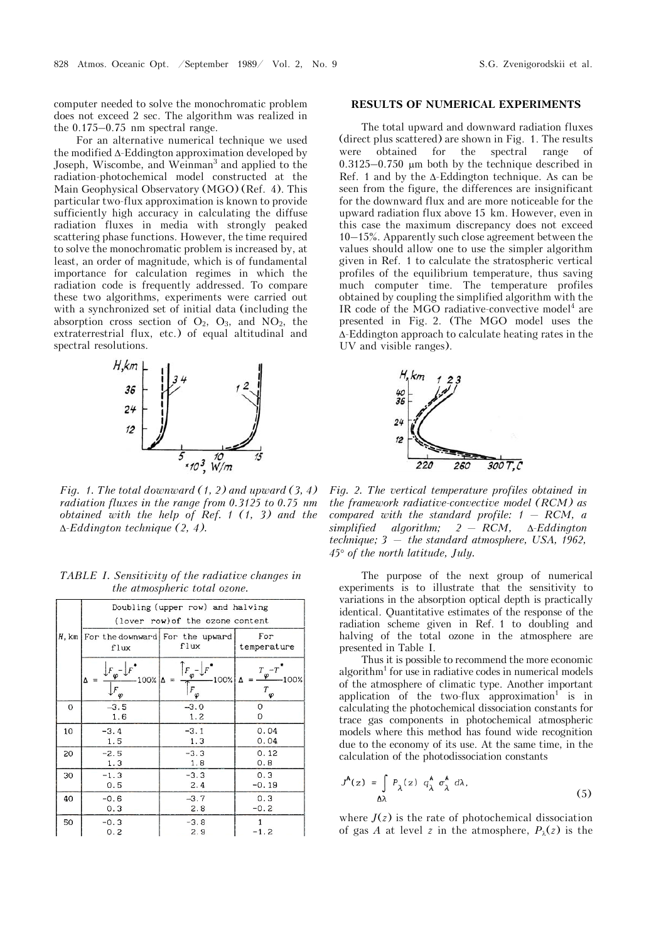computer needed to solve the monochromatic problem does not exceed 2 sec. The algorithm was realized in the 0.175–0.75 nm spectral range.

For an alternative numerical technique we used the modified  $\Delta$ -Eddington approximation developed by Joseph, Wiscombe, and Weinman<sup>3</sup> and applied to the radiation-photochemical model constructed at the Main Geophysical Observatory (MGO) (Ref. 4). This particular two-flux approximation is known to provide sufficiently high accuracy in calculating the diffuse radiation fluxes in media with strongly peaked scattering phase functions. However, the time required to solve the monochromatic problem is increased by, at least, an order of magnitude, which is of fundamental importance for calculation regimes in which the radiation code is frequently addressed. To compare these two algorithms, experiments were carried out with a synchronized set of initial data (including the absorption cross section of  $O_2$ ,  $O_3$ , and  $NO_2$ , the extraterrestrial flux, etc.) of equal altitudinal and spectral resolutions.



*Fig. 1. The total downward (1, 2) and upward (3, 4) radiation fluxes in the range from 0.3125 to 0.75 nm obtained with the help of Ref. 1 (1, 3) and the -Eddington technique (2, 4).*

|    | Doubling (upper row) and halving                     |                                              |                                       |
|----|------------------------------------------------------|----------------------------------------------|---------------------------------------|
|    | (lover row) of the ozone content                     |                                              |                                       |
|    | $H$ , km   For the downward   For the upward<br>flux | flux                                         | For<br>temperature                    |
|    | $100\%$ $\Delta$<br>Δ<br>$F_{\varphi}$               | п<br>100%<br>$\equiv$<br>$\overline{F}$<br>φ | T -7<br>φ<br>100%<br>Δ<br>$T_\varphi$ |
| 0  | $-3.5$                                               | $-3.0$                                       | 0                                     |
|    | 1.6                                                  | 1.2                                          | 0                                     |
| 10 | $-3.4$                                               | $-3.1$                                       | 0.04                                  |
|    | 1.5                                                  | 1.3                                          | 0.04                                  |
| 20 | $-2.5$                                               | $-3.3$                                       | 0.12                                  |
|    | 1.3                                                  | 1.8                                          | 0.8                                   |
| 30 | $-1.3$                                               | $-3.3$                                       | 0.3                                   |
|    | 0.5                                                  | 2.4                                          | $-0.19$                               |
| 40 | $-0.6$                                               | $-3.7$                                       | 0.3                                   |
|    | 0.3                                                  | 2.8                                          | $-0.2$                                |
| 50 | $-0.3$                                               | $-3.8$                                       | 1                                     |
|    | 0.2                                                  | 2.9                                          | $-1.2$                                |

*TABLE I. Sensitivity of the radiative changes in the atmospheric total ozone.* 

## **RESULTS OF NUMERICAL EXPERIMENTS**

The total upward and downward radiation fluxes (direct plus scattered) are shown in Fig. 1. The results were obtained for the spectral range of  $0.3125-0.750$  µm both by the technique described in Ref. 1 and by the  $\Delta$ -Eddington technique. As can be seen from the figure, the differences are insignificant for the downward flux and are more noticeable for the upward radiation flux above 15 km. However, even in this case the maximum discrepancy does not exceed 10–15%. Apparently such close agreement between the values should allow one to use the simpler algorithm given in Ref. 1 to calculate the stratospheric vertical profiles of the equilibrium temperature, thus saving much computer time. The temperature profiles obtained by coupling the simplified algorithm with the IR code of the MGO radiative-convective model<sup>4</sup> are presented in Fig. 2. (The MGO model uses the  $\Delta$ -Eddington approach to calculate heating rates in the UV and visible ranges).



*Fig. 2. The vertical temperature profiles obtained in the framework radiative-convective model (RCM) as compared with the standard profile: 1 — RCM, a*   $simplified \quad algorithm; \quad 2 - RCM, \quad \Delta Eddington$ *technique; 3 — the standard atmosphere, USA, 1962, 45 of the north latitude, July.* 

The purpose of the next group of numerical experiments is to illustrate that the sensitivity to variations in the absorption optical depth is practically identical. Quantitative estimates of the response of the radiation scheme given in Ref. 1 to doubling and halving of the total ozone in the atmosphere are presented in Table I.

Thus it is possible to recommend the more economic algorithm<sup>1</sup> for use in radiative codes in numerical models of the atmosphere of climatic type. Another important application of the two-flux approximation<sup>1</sup> is in calculating the photochemical dissociation constants for trace gas components in photochemical atmospheric models where this method has found wide recognition due to the economy of its use. At the same time, in the calculation of the photodissociation constants

$$
J^{A}(z) = \int_{\Delta\lambda} P_{\lambda}(z) q_{\lambda}^{A} \sigma_{\lambda}^{A} d\lambda,
$$
 (5)

where  $J(z)$  is the rate of photochemical dissociation of gas *A* at level *z* in the atmosphere,  $P_{\lambda}(z)$  is the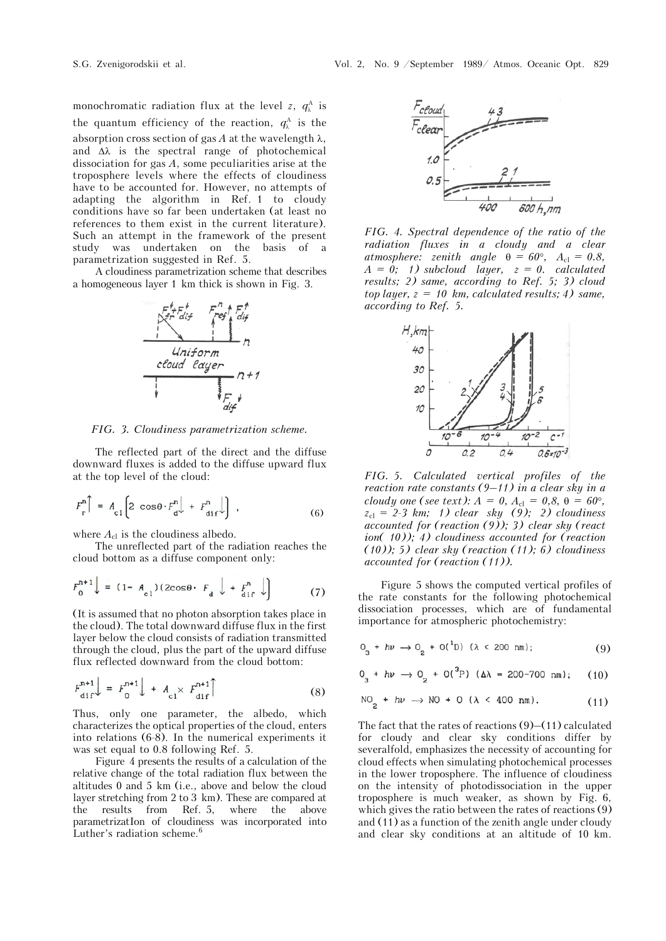monochromatic radiation flux at the level *z*,  $q_{\lambda}^{A}$  is the quantum efficiency of the reaction,  $q_{\lambda}^{\mathcal{A}}$  is the absorption cross section of gas  $A$  at the wavelength  $\lambda$ , and  $\Delta\lambda$  is the spectral range of photochemical dissociation for gas *A*, some peculiarities arise at the troposphere levels where the effects of cloudiness have to be accounted for. However, no attempts of adapting the algorithm in Ref. 1 to cloudy conditions have so far been undertaken (at least no references to them exist in the current literature). Such an attempt in the framework of the present study was undertaken on the basis of a parametrization suggested in Ref. 5.

A cloudiness parametrization scheme that describes a homogeneous layer 1 km thick is shown in Fig. 3.



*FIG. 3. Cloudiness parametrization scheme.*

The reflected part of the direct and the diffuse downward fluxes is added to the diffuse upward flux at the top level of the cloud:

$$
F_r^n \bigg[ = A_{c1} \bigg[ 2 \cos \theta \cdot F_d^n \bigg] + F_{\text{dif}}^n \bigg] \quad , \tag{6}
$$

where  $A_{\rm cl}$  is the cloudiness albedo.

The unreflected part of the radiation reaches the cloud bottom as a diffuse component only:

$$
F_0^{n+1} \downarrow = (1 - A_{c1})(2\cos\theta \cdot F_d \downarrow + F_{\text{dif}}^n \downarrow)
$$
 (7)

(It is assumed that no photon absorption takes place in the cloud). The total downward diffuse flux in the first layer below the cloud consists of radiation transmitted through the cloud, plus the part of the upward diffuse flux reflected downward from the cloud bottom:

$$
F_{\text{dif}}^{\text{n+1}} \Big| = F_0^{\text{n+1}} \Big| + A_{\text{cl}} \times F_{\text{dif}}^{\text{n+1}} \Big| \tag{8}
$$

Thus, only one parameter, the albedo, which characterizes the optical properties of the cloud, enters into relations (6-8). In the numerical experiments it was set equal to 0.8 following Ref. 5.

Figure 4 presents the results of a calculation of the relative change of the total radiation flux between the altitudes 0 and 5 km (i.e., above and below the cloud layer stretching from 2 to 3 km). These are compared at<br>the results from Ref. 5, where the above the results from Ref. 5, where the above parametrizatIon of cloudiness was incorporated into Luther's radiation scheme.<sup>6</sup>



*FIG. 4. Spectral dependence of the ratio of the radiation fluxes in a cloudy and a clear atmosphere: zenith angle*  $\theta = 60^{\circ}$ ,  $A_{\text{cl}} = 0.8$ , *A = 0; 1) subcloud layer, z = 0. calculated results; 2) same, according to Ref. 5; 3) cloud top layer, z = 10 km, calculated results; 4) same, according to Ref. 5.*



*FIG. 5. Calculated vertical profiles of the reaction rate constants (9–11) in a clear sky in a cloudy one (see text):*  $A = 0, A_{cl} = 0, 8, \theta = 60^{\circ}$ , *z*cl = *2-3 km; 1) clear sky (9); 2) cloudiness accounted for (reaction (9)); 3) clear sky (react ion( 10)); 4) cloudiness accounted for (reaction (10)); 5) clear sky (reaction (11); 6) cloudiness accounted for (reaction (11)).*

Figure 5 shows the computed vertical profiles of the rate constants for the following photochemical dissociation processes, which are of fundamental importance for atmospheric photochemistry:

$$
0_{3} + h\nu \to 0_{2} + 0(^{1}D) \ (\lambda < 200 \text{ nm}); \tag{9}
$$

$$
0_{3} + h\nu \rightarrow 0_{2} + O(^{3}P) \text{ (}\Delta\lambda = 200-700 \text{ nm}); \quad (10)
$$

$$
NO2 + hw \rightarrow NO + O (\lambda < 400 nm). \tag{11}
$$

The fact that the rates of reactions  $(9)$ – $(11)$  calculated for cloudy and clear sky conditions differ by severalfold, emphasizes the necessity of accounting for cloud effects when simulating photochemical processes in the lower troposphere. The influence of cloudiness on the intensity of photodissociation in the upper troposphere is much weaker, as shown by Fig. 6, which gives the ratio between the rates of reactions (9) and (11) as a function of the zenith angle under cloudy and clear sky conditions at an altitude of 10 km.